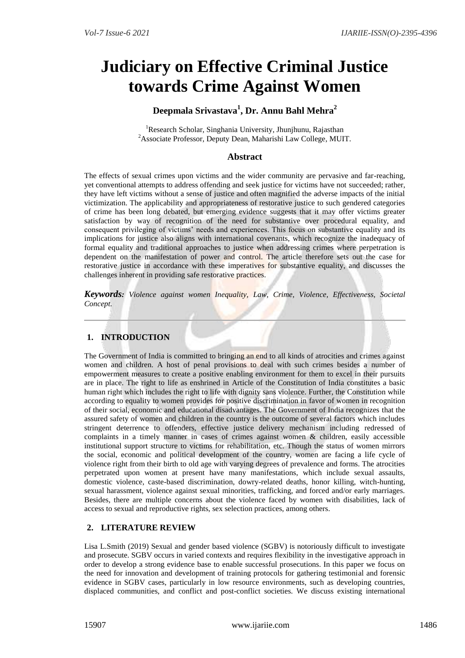# **Judiciary on Effective Criminal Justice towards Crime Against Women**

# **Deepmala Srivastava<sup>1</sup> , Dr. Annu Bahl Mehra<sup>2</sup>**

<sup>1</sup>Research Scholar, Singhania University, Jhunjhunu, Rajasthan <sup>2</sup>Associate Professor, Deputy Dean, Maharishi Law College, MUIT.

## **Abstract**

The effects of sexual crimes upon victims and the wider community are pervasive and far-reaching, yet conventional attempts to address offending and seek justice for victims have not succeeded; rather, they have left victims without a sense of justice and often magnified the adverse impacts of the initial victimization. The applicability and appropriateness of restorative justice to such gendered categories of crime has been long debated, but emerging evidence suggests that it may offer victims greater satisfaction by way of recognition of the need for substantive over procedural equality, and consequent privileging of victims' needs and experiences. This focus on substantive equality and its implications for justice also aligns with international covenants, which recognize the inadequacy of formal equality and traditional approaches to justice when addressing crimes where perpetration is dependent on the manifestation of power and control. The article therefore sets out the case for restorative justice in accordance with these imperatives for substantive equality, and discusses the challenges inherent in providing safe restorative practices.

*Keywords: Violence against women Inequality, Law, Crime, Violence, Effectiveness, Societal Concept.*

# **1. INTRODUCTION**

The Government of India is committed to bringing an end to all kinds of atrocities and crimes against women and children. A host of penal provisions to deal with such crimes besides a number of empowerment measures to create a positive enabling environment for them to excel in their pursuits are in place. The right to life as enshrined in Article of the Constitution of India constitutes a basic human right which includes the right to life with dignity sans violence. Further, the Constitution while according to equality to women provides for positive discrimination in favor of women in recognition of their social, economic and educational disadvantages. The Government of India recognizes that the assured safety of women and children in the country is the outcome of several factors which includes stringent deterrence to offenders, effective justice delivery mechanism including redressed of complaints in a timely manner in cases of crimes against women & children, easily accessible institutional support structure to victims for rehabilitation, etc. Though the status of women mirrors the social, economic and political development of the country, women are facing a life cycle of violence right from their birth to old age with varying degrees of prevalence and forms. The atrocities perpetrated upon women at present have many manifestations, which include sexual assaults, domestic violence, caste-based discrimination, dowry-related deaths, honor killing, witch-hunting, sexual harassment, violence against sexual minorities, trafficking, and forced and/or early marriages. Besides, there are multiple concerns about the violence faced by women with disabilities, lack of access to sexual and reproductive rights, sex selection practices, among others.

## **2. LITERATURE REVIEW**

Lisa L.Smith (2019) Sexual and gender based violence (SGBV) is notoriously difficult to investigate and prosecute. SGBV occurs in varied contexts and requires flexibility in the investigative approach in order to develop a strong evidence base to enable successful prosecutions. In this paper we focus on the need for innovation and development of training protocols for gathering testimonial and forensic evidence in SGBV cases, particularly in low resource environments, such as developing countries, displaced communities, and conflict and post-conflict societies. We discuss existing international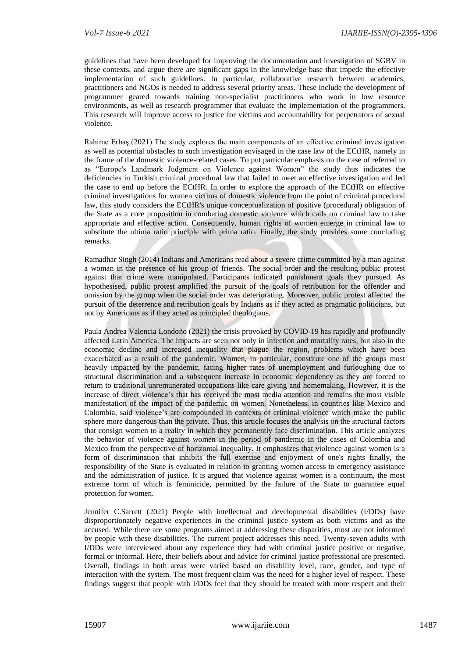guidelines that have been developed for improving the documentation and investigation of SGBV in these contexts, and argue there are significant gaps in the knowledge base that impede the effective implementation of such guidelines. In particular, collaborative research between academics, practitioners and NGOs is needed to address several priority areas. These include the development of programmer geared towards training non-specialist practitioners who work in low resource environments, as well as research programmer that evaluate the implementation of the programmers. This research will improve access to justice for victims and accountability for perpetrators of sexual violence.

Rahime Erbaş (2021) The study explores the main components of an effective criminal investigation as well as potential obstacles to such investigation envisaged in the case law of the ECtHR, namely in the frame of the domestic violence-related cases. To put particular emphasis on the case of referred to as "Europe's Landmark Judgment on Violence against Women" the study thus indicates the deficiencies in Turkish criminal procedural law that failed to meet an effective investigation and led the case to end up before the ECtHR. In order to explore the approach of the ECtHR on effective criminal investigations for women victims of domestic violence from the point of criminal procedural law, this study considers the ECtHR's unique conceptualization of positive (procedural) obligation of the State as a core proposition in combating domestic violence which calls on criminal law to take appropriate and effective action. Consequently, human rights of women emerge in criminal law to substitute the ultima ratio principle with prima ratio. Finally, the study provides some concluding remarks.

Ramadhar Singh (2014) Indians and Americans read about a severe crime committed by a man against a woman in the presence of his group of friends. The social order and the resulting public protest against that crime were manipulated. Participants indicated punishment goals they pursued. As hypothesised, public protest amplified the pursuit of the goals of retribution for the offender and omission by the group when the social order was deteriorating. Moreover, public protest affected the pursuit of the deterrence and retribution goals by Indians as if they acted as pragmatic politicians, but not by Americans as if they acted as principled theologians.

Paula Andrea Valencia Londoño (2021) the crisis provoked by COVID-19 has rapidly and profoundly affected Latin America. The impacts are seen not only in infection and mortality rates, but also in the economic decline and increased inequality that plague the region, problems which have been exacerbated as a result of the pandemic. Women, in particular, constitute one of the groups most heavily impacted by the pandemic, facing higher rates of unemployment and furloughing due to structural discrimination and a subsequent increase in economic dependency as they are forced to return to traditional unremunerated occupations like care giving and homemaking. However, it is the increase of direct violence's that has received the most media attention and remains the most visible manifestation of the impact of the pandemic on women. Nonetheless, in countries like Mexico and Colombia, said violence's are compounded in contexts of criminal violence which make the public sphere more dangerous than the private. Thus, this article focuses the analysis on the structural factors that consign women to a reality in which they permanently face discrimination. This article analyzes the behavior of violence against women in the period of pandemic in the cases of Colombia and Mexico from the perspective of horizontal inequality. It emphasizes that violence against women is a form of discrimination that inhibits the full exercise and enjoyment of one's rights finally, the responsibility of the State is evaluated in relation to granting women access to emergency assistance and the administration of justice. It is argued that violence against women is a continuum, the most extreme form of which is feminicide, permitted by the failure of the State to guarantee equal protection for women.

Jennifer C.Sarrett (2021) People with intellectual and developmental disabilities (I/DDs) have disproportionately negative experiences in the criminal justice system as both victims and as the accused. While there are some programs aimed at addressing these disparities, most are not informed by people with these disabilities. The current project addresses this need. Twenty-seven adults with I/DDs were interviewed about any experience they had with criminal justice positive or negative, formal or informal. Here, their beliefs about and advice for criminal justice professional are presented. Overall, findings in both areas were varied based on disability level, race, gender, and type of interaction with the system. The most frequent claim was the need for a higher level of respect. These findings suggest that people with I/DDs feel that they should be treated with more respect and their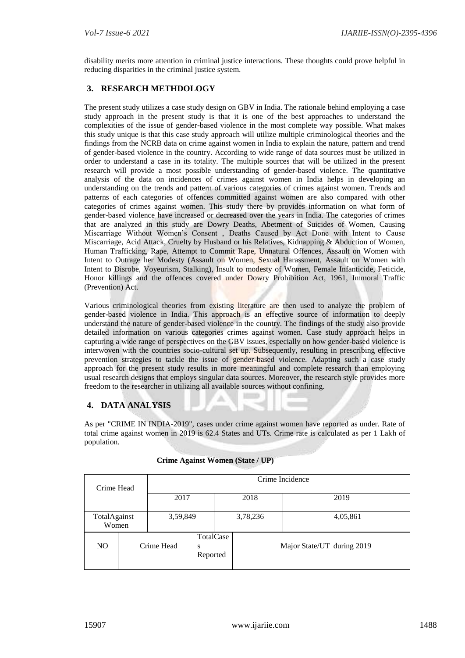disability merits more attention in criminal justice interactions. These thoughts could prove helpful in reducing disparities in the criminal justice system.

## **3. RESEARCH METHDOLOGY**

The present study utilizes a case study design on GBV in India. The rationale behind employing a case study approach in the present study is that it is one of the best approaches to understand the complexities of the issue of gender-based violence in the most complete way possible. What makes this study unique is that this case study approach will utilize multiple criminological theories and the findings from the NCRB data on crime against women in India to explain the nature, pattern and trend of gender-based violence in the country. According to wide range of data sources must be utilized in order to understand a case in its totality. The multiple sources that will be utilized in the present research will provide a most possible understanding of gender-based violence. The quantitative analysis of the data on incidences of crimes against women in India helps in developing an understanding on the trends and pattern of various categories of crimes against women. Trends and patterns of each categories of offences committed against women are also compared with other categories of crimes against women. This study there by provides information on what form of gender-based violence have increased or decreased over the years in India. The categories of crimes that are analyzed in this study are Dowry Deaths, Abetment of Suicides of Women, Causing Miscarriage Without Women's Consent , Deaths Caused by Act Done with Intent to Cause Miscarriage, Acid Attack, Cruelty by Husband or his Relatives, Kidnapping & Abduction of Women, Human Trafficking, Rape, Attempt to Commit Rape, Unnatural Offences, Assault on Women with Intent to Outrage her Modesty (Assault on Women, Sexual Harassment, Assault on Women with Intent to Disrobe, Voyeurism, Stalking), Insult to modesty of Women, Female Infanticide, Feticide, Honor killings and the offences covered under Dowry Prohibition Act, 1961, Immoral Traffic (Prevention) Act.

Various criminological theories from existing literature are then used to analyze the problem of gender-based violence in India. This approach is an effective source of information to deeply understand the nature of gender-based violence in the country. The findings of the study also provide detailed information on various categories crimes against women. Case study approach helps in capturing a wide range of perspectives on the GBV issues, especially on how gender-based violence is interwoven with the countries socio-cultural set up. Subsequently, resulting in prescribing effective prevention strategies to tackle the issue of gender-based violence. Adapting such a case study approach for the present study results in more meaningful and complete research than employing usual research designs that employs singular data sources. Moreover, the research style provides more freedom to the researcher in utilizing all available sources without confining.

## **4. DATA ANALYSIS**

As per "CRIME IN INDIA-2019", cases under crime against women have reported as under. Rate of total crime against women in 2019 is 62.4 States and UTs. Crime rate is calculated as per 1 Lakh of population.

| Crime Head            |            | Crime Incidence |                       |          |                            |  |  |
|-----------------------|------------|-----------------|-----------------------|----------|----------------------------|--|--|
|                       |            | 2017            |                       | 2018     | 2019                       |  |  |
| TotalAgainst<br>Women |            | 3,59,849        |                       | 3,78,236 | 4,05,861                   |  |  |
| N <sub>O</sub>        | Crime Head |                 | TotalCase<br>Reported |          | Major State/UT during 2019 |  |  |

#### **Crime Against Women (State / UP)**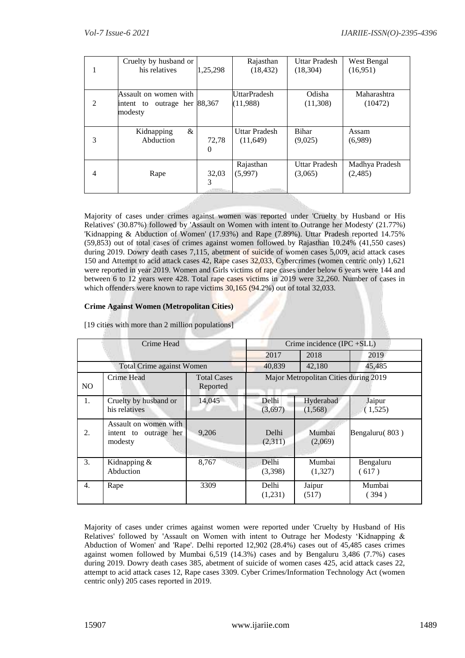| (16,951)<br>(18, 304)           |
|---------------------------------|
|                                 |
|                                 |
| Odisha<br>Maharashtra           |
| (11,308)<br>(10472)             |
|                                 |
|                                 |
| Assam                           |
| (6,989)                         |
|                                 |
|                                 |
| Uttar Pradesh<br>Madhya Pradesh |
| (2,485)                         |
|                                 |
|                                 |

Majority of cases under crimes against women was reported under 'Cruelty by Husband or His Relatives' (30.87%) followed by 'Assault on Women with intent to Outrange her Modesty' (21.77%) 'Kidnapping & Abduction of Women' (17.93%) and Rape (7.89%). Uttar Pradesh reported 14.75% (59,853) out of total cases of crimes against women followed by Rajasthan 10.24% (41,550 cases) during 2019. Dowry death cases 7,115, abetment of suicide of women cases 5,009, acid attack cases 150 and Attempt to acid attack cases 42, Rape cases 32,033, Cybercrimes (women centric only) 1,621 were reported in year 2019. Women and Girls victims of rape cases under below 6 years were 144 and between 6 to 12 years were 428. Total rape cases victims in 2019 were 32,260. Number of cases in which offenders were known to rape victims  $30,165$  (94.2%) out of total 32,033.

#### **Crime Against Women (Metropolitan Cities)**

|     | Crime Head                                                |                                       | Crime incidence $(IPC + SLL)$ |                      |                    |  |
|-----|-----------------------------------------------------------|---------------------------------------|-------------------------------|----------------------|--------------------|--|
|     |                                                           |                                       |                               |                      |                    |  |
|     |                                                           |                                       | 2017                          | 2018                 | 2019               |  |
|     | Total Crime against Women                                 |                                       | 40,839                        | 42,180               | 45,485             |  |
| NO. | Crime Head                                                | Major Metropolitan Cities during 2019 |                               |                      |                    |  |
| 1.  | Cruelty by husband or<br>his relatives                    | 14,045                                | Delhi<br>(3,697)              | Hyderabad<br>(1,568) | Jaipur<br>(1,525)  |  |
| 2.  | Assault on women with<br>intent to outrage her<br>modesty | 9,206                                 | Delhi<br>(2,311)              | Mumbai<br>(2,069)    | Bengaluru(803)     |  |
| 3.  | Kidnapping &<br>Abduction                                 | 8,767                                 | Delhi<br>(3,398)              | Mumbai<br>(1,327)    | Bengaluru<br>(617) |  |
| 4.  | Rape                                                      | 3309                                  | Delhi<br>(1,231)              | Jaipur<br>(517)      | Mumbai<br>(394)    |  |

[19 cities with more than 2 million populations]

Majority of cases under crimes against women were reported under 'Cruelty by Husband of His Relatives' followed by 'Assault on Women with intent to Outrage her Modesty 'Kidnapping & Abduction of Women' and 'Rape'. Delhi reported 12,902 (28.4%) cases out of 45,485 cases crimes against women followed by Mumbai 6,519 (14.3%) cases and by Bengaluru 3,486 (7.7%) cases during 2019. Dowry death cases 385, abetment of suicide of women cases 425, acid attack cases 22, attempt to acid attack cases 12, Rape cases 3309. Cyber Crimes/Information Technology Act (women centric only) 205 cases reported in 2019.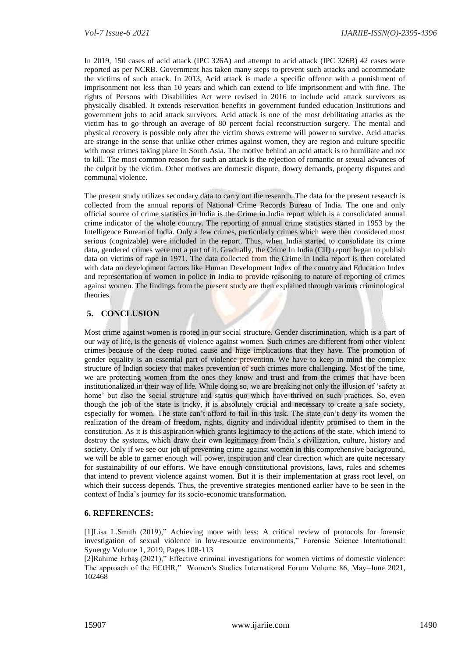In 2019, 150 cases of acid attack (IPC 326A) and attempt to acid attack (IPC 326B) 42 cases were reported as per NCRB. Government has taken many steps to prevent such attacks and accommodate the victims of such attack. In 2013, Acid attack is made a specific offence with a punishment of imprisonment not less than 10 years and which can extend to life imprisonment and with fine. The rights of Persons with Disabilities Act were revised in 2016 to include acid attack survivors as physically disabled. It extends reservation benefits in government funded education Institutions and government jobs to acid attack survivors. Acid attack is one of the most debilitating attacks as the victim has to go through an average of 80 percent facial reconstruction surgery. The mental and physical recovery is possible only after the victim shows extreme will power to survive. Acid attacks are strange in the sense that unlike other crimes against women, they are region and culture specific with most crimes taking place in South Asia. The motive behind an acid attack is to humiliate and not to kill. The most common reason for such an attack is the rejection of romantic or sexual advances of the culprit by the victim. Other motives are domestic dispute, dowry demands, property disputes and communal violence.

The present study utilizes secondary data to carry out the research. The data for the present research is collected from the annual reports of National Crime Records Bureau of India. The one and only official source of crime statistics in India is the Crime in India report which is a consolidated annual crime indicator of the whole country. The reporting of annual crime statistics started in 1953 by the Intelligence Bureau of India. Only a few crimes, particularly crimes which were then considered most serious (cognizable) were included in the report. Thus, when India started to consolidate its crime data, gendered crimes were not a part of it. Gradually, the Crime In India (CII) report began to publish data on victims of rape in 1971. The data collected from the Crime in India report is then corelated with data on development factors like Human Development Index of the country and Education Index and representation of women in police in India to provide reasoning to nature of reporting of crimes against women. The findings from the present study are then explained through various criminological theories.

## **5. CONCLUSION**

Most crime against women is rooted in our social structure. Gender discrimination, which is a part of our way of life, is the genesis of violence against women. Such crimes are different from other violent crimes because of the deep rooted cause and huge implications that they have. The promotion of gender equality is an essential part of violence prevention. We have to keep in mind the complex structure of Indian society that makes prevention of such crimes more challenging. Most of the time, we are protecting women from the ones they know and trust and from the crimes that have been institutionalized in their way of life. While doing so, we are breaking not only the illusion of 'safety at home' but also the social structure and status quo which have thrived on such practices. So, even though the job of the state is tricky, it is absolutely crucial and necessary to create a safe society, especially for women. The state can't afford to fail in this task. The state can't deny its women the realization of the dream of freedom, rights, dignity and individual identity promised to them in the constitution. As it is this aspiration which grants legitimacy to the actions of the state, which intend to destroy the systems, which draw their own legitimacy from India's civilization, culture, history and society. Only if we see our job of preventing crime against women in this comprehensive background, we will be able to garner enough will power, inspiration and clear direction which are quite necessary for sustainability of our efforts. We have enough constitutional provisions, laws, rules and schemes that intend to prevent violence against women. But it is their implementation at grass root level, on which their success depends. Thus, the preventive strategies mentioned earlier have to be seen in the context of India's journey for its socio-economic transformation.

#### **6. REFERENCES:**

[1]Lisa L.Smith (2019)," Achieving more with less: A critical review of protocols for forensic investigation of sexual violence in low-resource environments," Forensic Science International: Synergy Volume 1, 2019, Pages 108-113

[2]Rahime Erbaş (2021)," Effective criminal investigations for women victims of domestic violence: The approach of the ECtHR," Women's Studies International Forum Volume 86, May–June 2021, 102468